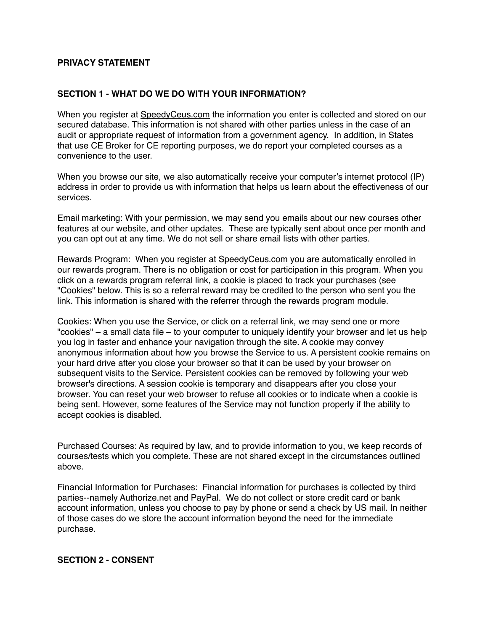# **PRIVACY STATEMENT**

### **SECTION 1 - WHAT DO WE DO WITH YOUR INFORMATION?**

When you register at [SpeedyCeus.com](http://SpeedyCeus.com) the information you enter is collected and stored on our secured database. This information is not shared with other parties unless in the case of an audit or appropriate request of information from a government agency. In addition, in States that use CE Broker for CE reporting purposes, we do report your completed courses as a convenience to the user.

When you browse our site, we also automatically receive your computer's internet protocol (IP) address in order to provide us with information that helps us learn about the effectiveness of our services.

Email marketing: With your permission, we may send you emails about our new courses other features at our website, and other updates. These are typically sent about once per month and you can opt out at any time. We do not sell or share email lists with other parties.

Rewards Program: When you register at SpeedyCeus.com you are automatically enrolled in our rewards program. There is no obligation or cost for participation in this program. When you click on a rewards program referral link, a cookie is placed to track your purchases (see "Cookies" below. This is so a referral reward may be credited to the person who sent you the link. This information is shared with the referrer through the rewards program module.

Cookies: When you use the Service, or click on a referral link, we may send one or more "cookies" – a small data file – to your computer to uniquely identify your browser and let us help you log in faster and enhance your navigation through the site. A cookie may convey anonymous information about how you browse the Service to us. A persistent cookie remains on your hard drive after you close your browser so that it can be used by your browser on subsequent visits to the Service. Persistent cookies can be removed by following your web browser's directions. A session cookie is temporary and disappears after you close your browser. You can reset your web browser to refuse all cookies or to indicate when a cookie is being sent. However, some features of the Service may not function properly if the ability to accept cookies is disabled.

Purchased Courses: As required by law, and to provide information to you, we keep records of courses/tests which you complete. These are not shared except in the circumstances outlined above.

Financial Information for Purchases: Financial information for purchases is collected by third parties--namely Authorize.net and PayPal. We do not collect or store credit card or bank account information, unless you choose to pay by phone or send a check by US mail. In neither of those cases do we store the account information beyond the need for the immediate purchase.

## **SECTION 2 - CONSENT**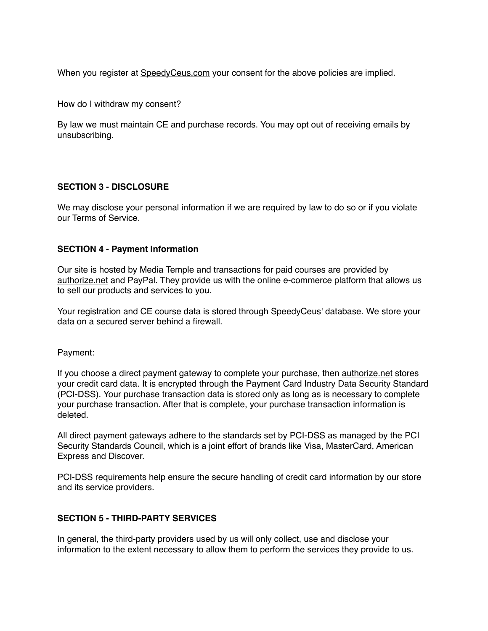When you register at SpeedyCeus.com your consent for the above policies are implied.

How do I withdraw my consent?

By law we must maintain CE and purchase records. You may opt out of receiving emails by unsubscribing.

#### **SECTION 3 - DISCLOSURE**

We may disclose your personal information if we are required by law to do so or if you violate our Terms of Service.

#### **SECTION 4 - Payment Information**

Our site is hosted by Media Temple and transactions for paid courses are provided by authorize.net and PayPal. They provide us with the online e-commerce platform that allows us to sell our products and services to you.

Your registration and CE course data is stored through SpeedyCeus' database. We store your data on a secured server behind a firewall.

Payment:

If you choose a direct payment gateway to complete your purchase, then authorize.net stores your credit card data. It is encrypted through the Payment Card Industry Data Security Standard (PCI-DSS). Your purchase transaction data is stored only as long as is necessary to complete your purchase transaction. After that is complete, your purchase transaction information is deleted.

All direct payment gateways adhere to the standards set by PCI-DSS as managed by the PCI Security Standards Council, which is a joint effort of brands like Visa, MasterCard, American Express and Discover.

PCI-DSS requirements help ensure the secure handling of credit card information by our store and its service providers.

#### **SECTION 5 - THIRD-PARTY SERVICES**

In general, the third-party providers used by us will only collect, use and disclose your information to the extent necessary to allow them to perform the services they provide to us.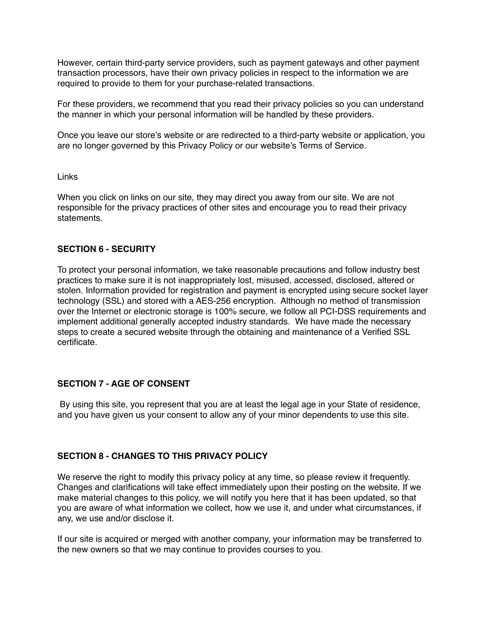However, certain third-party service providers, such as payment gateways and other payment transaction processors, have their own privacy policies in respect to the information we are required to provide to them for your purchase-related transactions.

For these providers, we recommend that you read their privacy policies so you can understand the manner in which your personal information will be handled by these providers.

Once you leave our store's website or are redirected to a third-party website or application, you are no longer governed by this Privacy Policy or our website's Terms of Service.

Links

When you click on links on our site, they may direct you away from our site. We are not responsible for the privacy practices of other sites and encourage you to read their privacy statements.

### **SECTION 6 - SECURITY**

To protect your personal information, we take reasonable precautions and follow industry best practices to make sure it is not inappropriately lost, misused, accessed, disclosed, altered or stolen. Information provided for registration and payment is encrypted using secure socket layer technology (SSL) and stored with a AES-256 encryption. Although no method of transmission over the Internet or electronic storage is 100% secure, we follow all PCI-DSS requirements and implement additional generally accepted industry standards. We have made the necessary steps to create a secured website through the obtaining and maintenance of a Verified SSL certificate.

#### **SECTION 7 - AGE OF CONSENT**

 By using this site, you represent that you are at least the legal age in your State of residence, and you have given us your consent to allow any of your minor dependents to use this site.

### **SECTION 8 - CHANGES TO THIS PRIVACY POLICY**

We reserve the right to modify this privacy policy at any time, so please review it frequently. Changes and clarifications will take effect immediately upon their posting on the website. If we make material changes to this policy, we will notify you here that it has been updated, so that you are aware of what information we collect, how we use it, and under what circumstances, if any, we use and/or disclose it.

If our site is acquired or merged with another company, your information may be transferred to the new owners so that we may continue to provides courses to you.